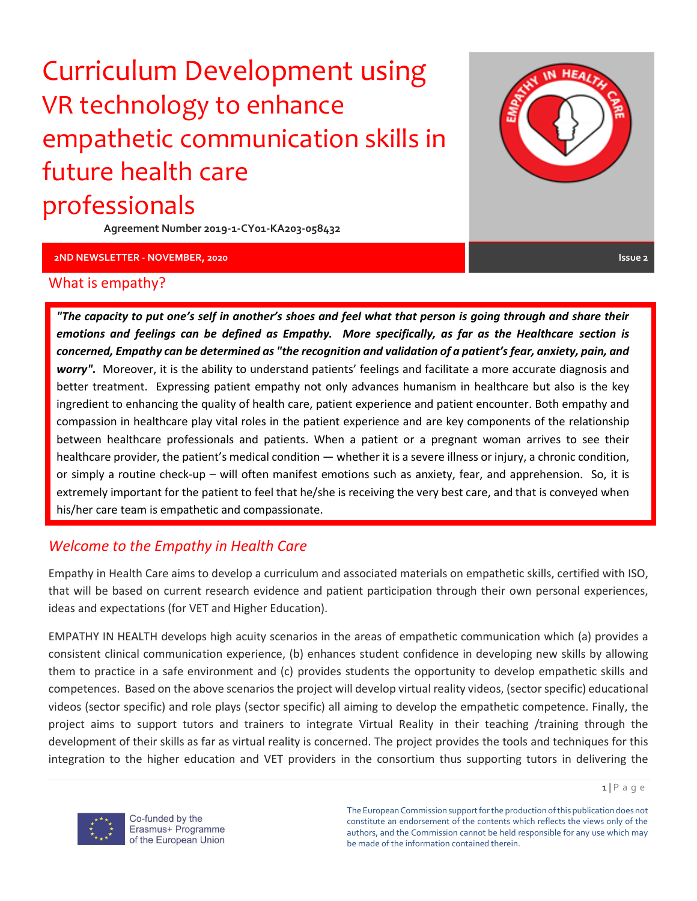# Curriculum Development using VR technology to enhance empathetic communication skills in future health care professionals

**Agreement Number 2019-1-CY01-KA203-058432**

**2ND NEWSLETTER - NOVEMBER, 2020 Issue 2**

**HEALT** 

#### What is empathy?

*"The capacity to put one's self in another's shoes and feel what that person is going through and share their emotions and feelings can be defined as Empathy. More specifically, as far as the Healthcare section is concerned, Empathy can be determined as "the recognition and validation of a patient's fear, anxiety, pain, and worry".* Moreover, it is the ability to understand patients' feelings and facilitate a more accurate diagnosis and better treatment. Expressing patient empathy not only advances humanism in healthcare but also is the key ingredient to enhancing the quality of health care, patient experience and patient encounter. Both empathy and compassion in healthcare play vital roles in the patient experience and are key components of the relationship between healthcare professionals and patients. When a patient or a pregnant woman arrives to see their healthcare provider, the patient's medical condition — whether it is a severe illness or injury, a chronic condition, or simply a routine check-up – will often manifest emotions such as anxiety, fear, and apprehension. So, it is extremely important for the patient to feel that he/she is receiving the very best care, and that is conveyed when his/her care team is empathetic and compassionate.

#### *Welcome to the Empathy in Health Care*

Empathy in Health Care aims to develop a curriculum and associated materials on empathetic skills, certified with ISO, that will be based on current research evidence and patient participation through their own personal experiences, ideas and expectations (for VET and Higher Education).

EMPATHY IN HEALTH develops high acuity scenarios in the areas of empathetic communication which (a) provides a consistent clinical communication experience, (b) enhances student confidence in developing new skills by allowing them to practice in a safe environment and (c) provides students the opportunity to develop empathetic skills and competences. Based on the above scenarios the project will develop virtual reality videos, (sector specific) educational videos (sector specific) and role plays (sector specific) all aiming to develop the empathetic competence. Finally, the project aims to support tutors and trainers to integrate Virtual Reality in their teaching /training through the development of their skills as far as virtual reality is concerned. The project provides the tools and techniques for this integration to the higher education and VET providers in the consortium thus supporting tutors in delivering the

The European Commission support for the production of this publication does not constitute an endorsement of the contents which reflects the views only of the authors, and the Commission cannot be held responsible for any use which may be made of the information contained therein.



Co-funded by the Erasmus+ Programme of the European Union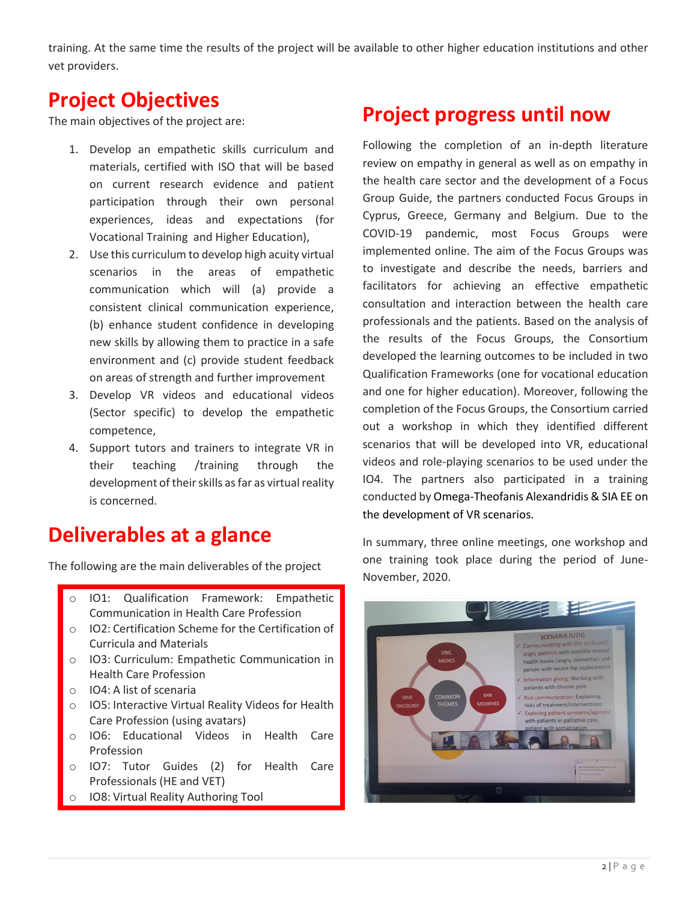training. At the same time the results of the project will be available to other higher education institutions and other vet providers.

## **Project Objectives**

The main objectives of the project are:

- 1. Develop an empathetic skills curriculum and materials, certified with ISO that will be based on current research evidence and patient participation through their own personal experiences, ideas and expectations (for Vocational Training and Ηigher Education),
- 2. Use this curriculum to develop high acuity virtual scenarios in the areas of empathetic communication which will (a) provide a consistent clinical communication experience, (b) enhance student confidence in developing new skills by allowing them to practice in a safe environment and (c) provide student feedback on areas of strength and further improvement
- 3. Develop VR videos and educational videos (Sector specific) to develop the empathetic competence,
- 4. Support tutors and trainers to integrate VR in their teaching /training through the development of their skills as far as virtual reality is concerned.

## **Deliverables at a glance**

The following are the main deliverables of the project

- o IO1: Qualification Framework: Empathetic Communication in Health Care Profession
- o IO2: Certification Scheme for the Certification of Curricula and Materials
- o IO3: Curriculum: Empathetic Communication in Health Care Profession
- o IO4: A list of scenaria
- o IO5: Interactive Virtual Reality Videos for Health Care Profession (using avatars)
- o IO6: Educational Videos in Health Care Profession
- o IO7: Tutor Guides (2) for Health Care Professionals (HE and VET)
- o IO8: Virtual Reality Authoring Tool

## **Project progress until now**

Following the completion of an in-depth literature review on empathy in general as well as on empathy in the health care sector and the development of a Focus Group Guide, the partners conducted Focus Groups in Cyprus, Greece, Germany and Belgium. Due to the COVID-19 pandemic, most Focus Groups were implemented online. The aim of the Focus Groups was to investigate and describe the needs, barriers and facilitators for achieving an effective empathetic consultation and interaction between the health care professionals and the patients. Based on the analysis of the results of the Focus Groups, the Consortium developed the learning outcomes to be included in two Qualification Frameworks (one for vocational education and one for higher education). Moreover, following the completion of the Focus Groups, the Consortium carried out a workshop in which they identified different scenarios that will be developed into VR, educational videos and role-playing scenarios to be used under the IO4. The partners also participated in a training conducted by Omega-Theofanis Alexandridis & SIA EE on the development of VR scenarios.

In summary, three online meetings, one workshop and one training took place during the period of June-November, 2020.